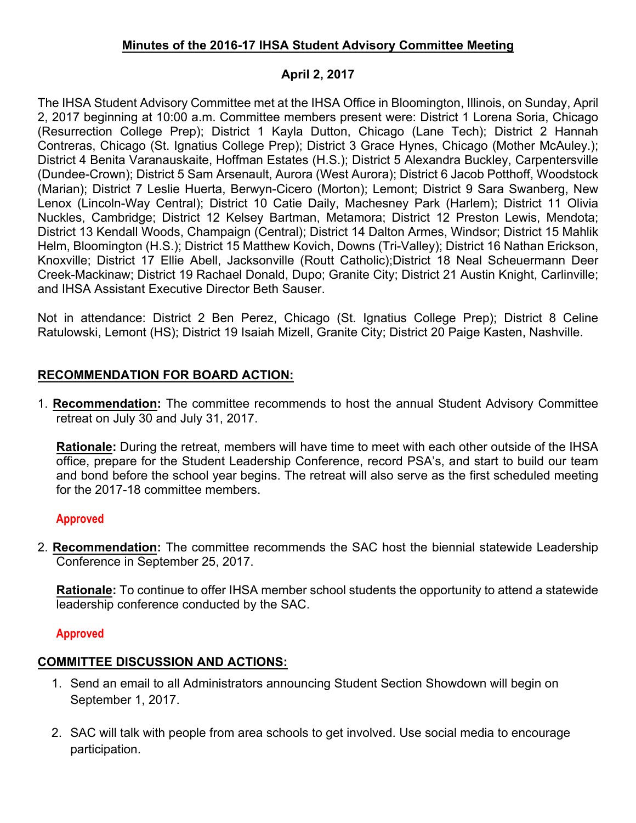## **Minutes of the 2016-17 IHSA Student Advisory Committee Meeting**

## **April 2, 2017**

The IHSA Student Advisory Committee met at the IHSA Office in Bloomington, Illinois, on Sunday, April 2, 2017 beginning at 10:00 a.m. Committee members present were: District 1 Lorena Soria, Chicago (Resurrection College Prep); District 1 Kayla Dutton, Chicago (Lane Tech); District 2 Hannah Contreras, Chicago (St. Ignatius College Prep); District 3 Grace Hynes, Chicago (Mother McAuley.); District 4 Benita Varanauskaite, Hoffman Estates (H.S.); District 5 Alexandra Buckley, Carpentersville (Dundee-Crown); District 5 Sam Arsenault, Aurora (West Aurora); District 6 Jacob Potthoff, Woodstock (Marian); District 7 Leslie Huerta, Berwyn-Cicero (Morton); Lemont; District 9 Sara Swanberg, New Lenox (Lincoln-Way Central); District 10 Catie Daily, Machesney Park (Harlem); District 11 Olivia Nuckles, Cambridge; District 12 Kelsey Bartman, Metamora; District 12 Preston Lewis, Mendota; District 13 Kendall Woods, Champaign (Central); District 14 Dalton Armes, Windsor; District 15 Mahlik Helm, Bloomington (H.S.); District 15 Matthew Kovich, Downs (Tri-Valley); District 16 Nathan Erickson, Knoxville; District 17 Ellie Abell, Jacksonville (Routt Catholic);District 18 Neal Scheuermann Deer Creek-Mackinaw; District 19 Rachael Donald, Dupo; Granite City; District 21 Austin Knight, Carlinville; and IHSA Assistant Executive Director Beth Sauser.

Not in attendance: District 2 Ben Perez, Chicago (St. Ignatius College Prep); District 8 Celine Ratulowski, Lemont (HS); District 19 Isaiah Mizell, Granite City; District 20 Paige Kasten, Nashville.

## **RECOMMENDATION FOR BOARD ACTION:**

1. **Recommendation:** The committee recommends to host the annual Student Advisory Committee retreat on July 30 and July 31, 2017.

**Rationale:** During the retreat, members will have time to meet with each other outside of the IHSA office, prepare for the Student Leadership Conference, record PSA's, and start to build our team and bond before the school year begins. The retreat will also serve as the first scheduled meeting for the 2017-18 committee members.

## **Approved**

2. **Recommendation:** The committee recommends the SAC host the biennial statewide Leadership Conference in September 25, 2017.

**Rationale:** To continue to offer IHSA member school students the opportunity to attend a statewide leadership conference conducted by the SAC.

## **Approved**

# **COMMITTEE DISCUSSION AND ACTIONS:**

- 1. Send an email to all Administrators announcing Student Section Showdown will begin on September 1, 2017.
- 2. SAC will talk with people from area schools to get involved. Use social media to encourage participation.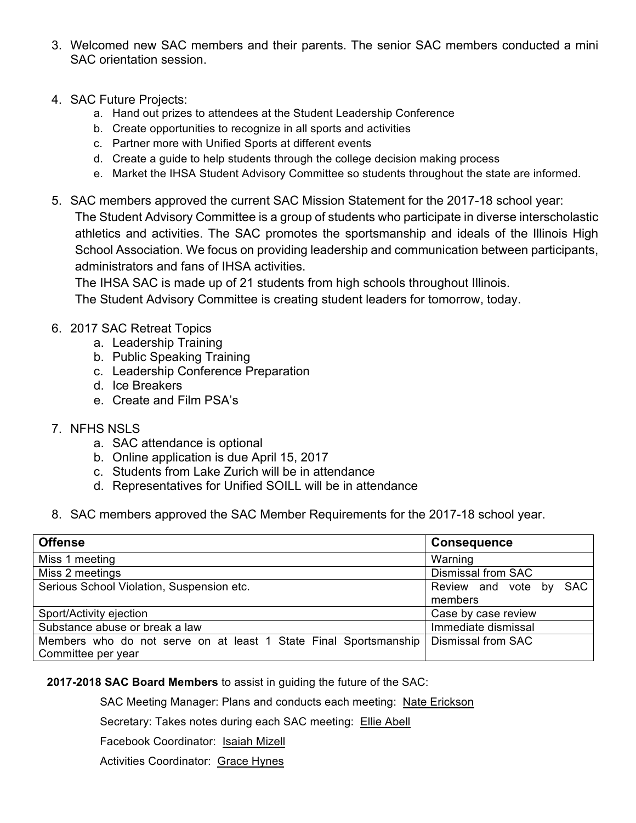- 3. Welcomed new SAC members and their parents. The senior SAC members conducted a mini SAC orientation session.
- 4. SAC Future Projects:
	- a. Hand out prizes to attendees at the Student Leadership Conference
	- b. Create opportunities to recognize in all sports and activities
	- c. Partner more with Unified Sports at different events
	- d. Create a guide to help students through the college decision making process
	- e. Market the IHSA Student Advisory Committee so students throughout the state are informed.
- 5. SAC members approved the current SAC Mission Statement for the 2017-18 school year: The Student Advisory Committee is a group of students who participate in diverse interscholastic athletics and activities. The SAC promotes the sportsmanship and ideals of the Illinois High School Association. We focus on providing leadership and communication between participants, administrators and fans of IHSA activities.

The IHSA SAC is made up of 21 students from high schools throughout Illinois.

The Student Advisory Committee is creating student leaders for tomorrow, today.

- 6. 2017 SAC Retreat Topics
	- a. Leadership Training
	- b. Public Speaking Training
	- c. Leadership Conference Preparation
	- d. Ice Breakers
	- e. Create and Film PSA's
- 7. NFHS NSLS
	- a. SAC attendance is optional
	- b. Online application is due April 15, 2017
	- c. Students from Lake Zurich will be in attendance
	- d. Representatives for Unified SOILL will be in attendance
- 8. SAC members approved the SAC Member Requirements for the 2017-18 school year.

| <b>Offense</b>                                                   | <b>Consequence</b>               |
|------------------------------------------------------------------|----------------------------------|
| Miss 1 meeting                                                   | Warning                          |
| Miss 2 meetings                                                  | <b>Dismissal from SAC</b>        |
| Serious School Violation, Suspension etc.                        | <b>SAC</b><br>Review and vote by |
|                                                                  | members                          |
| Sport/Activity ejection                                          | Case by case review              |
| Substance abuse or break a law                                   | Immediate dismissal              |
| Members who do not serve on at least 1 State Final Sportsmanship | <b>Dismissal from SAC</b>        |
| Committee per year                                               |                                  |

#### **2017-2018 SAC Board Members** to assist in guiding the future of the SAC:

SAC Meeting Manager: Plans and conducts each meeting: Nate Erickson

Secretary: Takes notes during each SAC meeting: Ellie Abell

Facebook Coordinator: Isaiah Mizell

Activities Coordinator: Grace Hynes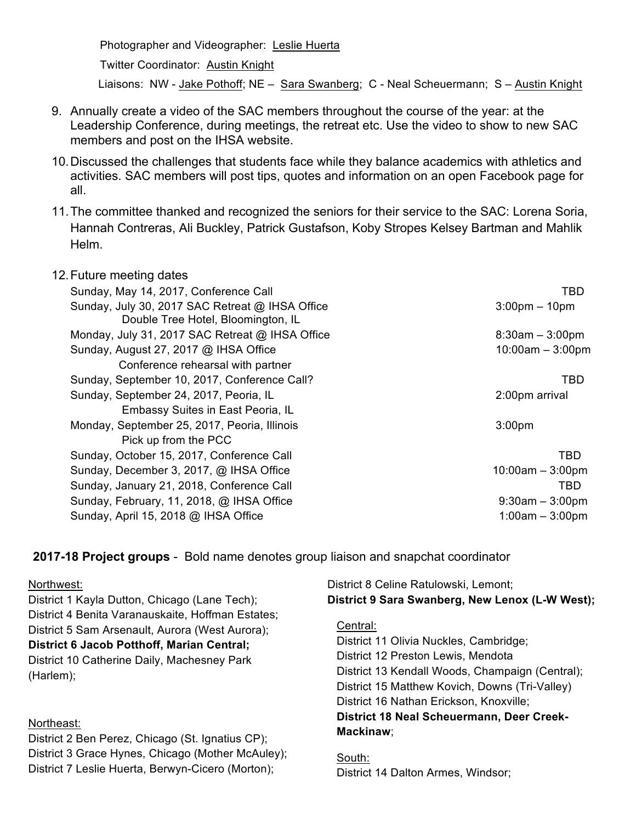Photographer and Videographer: Leslie Huerta Twitter Coordinator: Austin Knight Liaisons: NW - Jake Pothoff; NE – Sara Swanberg; C - Neal Scheuermann; S – Austin Knight

- 9. Annually create a video of the SAC members throughout the course of the year: at the Leadership Conference, during meetings, the retreat etc. Use the video to show to new SAC members and post on the IHSA website.
- 10.Discussed the challenges that students face while they balance academics with athletics and activities. SAC members will post tips, quotes and information on an open Facebook page for all.
- 11.The committee thanked and recognized the seniors for their service to the SAC: Lorena Soria, Hannah Contreras, Ali Buckley, Patrick Gustafson, Koby Stropes Kelsey Bartman and Mahlik Helm.

| 12. Future meeting dates                                                              |                                 |
|---------------------------------------------------------------------------------------|---------------------------------|
| Sunday, May 14, 2017, Conference Call                                                 | TBD                             |
| Sunday, July 30, 2017 SAC Retreat @ IHSA Office<br>Double Tree Hotel, Bloomington, IL | $3:00 \text{pm} - 10 \text{pm}$ |
| Monday, July 31, 2017 SAC Retreat @ IHSA Office                                       | $8:30am - 3:00pm$               |
| Sunday, August 27, 2017 @ IHSA Office                                                 | $10:00am - 3:00pm$              |
| Conference rehearsal with partner                                                     |                                 |
| Sunday, September 10, 2017, Conference Call?                                          | TBD                             |
| Sunday, September 24, 2017, Peoria, IL                                                | 2:00pm arrival                  |
| Embassy Suites in East Peoria, IL                                                     |                                 |
| Monday, September 25, 2017, Peoria, Illinois                                          | 3:00 <sub>pm</sub>              |
| Pick up from the PCC                                                                  |                                 |
| Sunday, October 15, 2017, Conference Call                                             | TBD                             |
| Sunday, December 3, 2017, @ IHSA Office                                               | $10:00am - 3:00pm$              |
| Sunday, January 21, 2018, Conference Call                                             | TBD                             |
| Sunday, February, 11, 2018, @ IHSA Office                                             | $9:30am - 3:00pm$               |
| Sunday, April 15, 2018 @ IHSA Office                                                  | $1:00am - 3:00pm$               |

**2017-18 Project groups** - Bold name denotes group liaison and snapchat coordinator

### Northwest:

District 1 Kayla Dutton, Chicago (Lane Tech); District 4 Benita Varanauskaite, Hoffman Estates; District 5 Sam Arsenault, Aurora (West Aurora); **District 6 Jacob Potthoff, Marian Central;**  District 10 Catherine Daily, Machesney Park

(Harlem);

## Northeast:

District 2 Ben Perez, Chicago (St. Ignatius CP); District 3 Grace Hynes, Chicago (Mother McAuley); District 7 Leslie Huerta, Berwyn-Cicero (Morton);

District 8 Celine Ratulowski, Lemont; **District 9 Sara Swanberg, New Lenox (L-W West);**

## Central:

District 11 Olivia Nuckles, Cambridge; District 12 Preston Lewis, Mendota District 13 Kendall Woods, Champaign (Central); District 15 Matthew Kovich, Downs (Tri-Valley) District 16 Nathan Erickson, Knoxville; **District 18 Neal Scheuermann, Deer Creek-Mackinaw**;

South: District 14 Dalton Armes, Windsor;